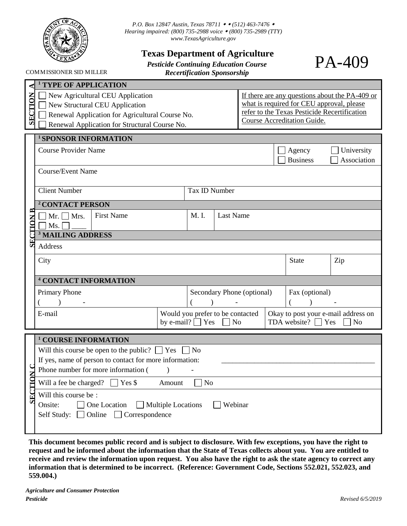

*P.O. Box 12847 Austin, Texas 78711 ◆ ◆ (512) 463-7476 ◆ Hearing impaired: (800) 735-2988 voice (800) 735-2989 (TTY) www.TexasAgriculture.gov*

## **Texas Department of Agriculture**

*Pesticide Continuing Education Course Recertification Sponsorship* 

PA-409

COMMISSIONER SID MILLER

|                | <b>TYPE OF APPLICATION</b>                                                                                                                                             |                            |                      |                  |                                                                                               |  |                                                                                                                                 |                                                |
|----------------|------------------------------------------------------------------------------------------------------------------------------------------------------------------------|----------------------------|----------------------|------------------|-----------------------------------------------------------------------------------------------|--|---------------------------------------------------------------------------------------------------------------------------------|------------------------------------------------|
| <b>SECTION</b> | New Agricultural CEU Application<br>New Structural CEU Application<br>Renewal Application for Agricultural Course No.<br>Renewal Application for Structural Course No. |                            |                      |                  |                                                                                               |  | what is required for CEU approval, please<br>refer to the Texas Pesticide Recertification<br><b>Course Accreditation Guide.</b> | If there are any questions about the PA-409 or |
|                | <sup>1</sup> SPONSOR INFORMATION                                                                                                                                       |                            |                      |                  |                                                                                               |  |                                                                                                                                 |                                                |
|                | <b>Course Provider Name</b><br>Agency<br>University<br><b>Business</b><br>Association<br><b>Course/Event Name</b>                                                      |                            |                      |                  |                                                                                               |  |                                                                                                                                 |                                                |
|                | <b>Client Number</b>                                                                                                                                                   |                            | <b>Tax ID Number</b> |                  |                                                                                               |  |                                                                                                                                 |                                                |
|                | <sup>2</sup> CONTACT PERSON                                                                                                                                            |                            |                      |                  |                                                                                               |  |                                                                                                                                 |                                                |
| "TION B        | <b>First Name</b><br>$Mr. \Box Mrs.$<br>Ms.                                                                                                                            |                            | M. I.                | <b>Last Name</b> |                                                                                               |  |                                                                                                                                 |                                                |
|                | <sup>3</sup> MAILING ADDRESS                                                                                                                                           |                            |                      |                  |                                                                                               |  |                                                                                                                                 |                                                |
| SF.            | Address                                                                                                                                                                |                            |                      |                  |                                                                                               |  |                                                                                                                                 |                                                |
|                | City<br><b>State</b><br>Zip                                                                                                                                            |                            |                      |                  |                                                                                               |  |                                                                                                                                 |                                                |
|                | <sup>4</sup> CONTACT INFORMATION                                                                                                                                       |                            |                      |                  |                                                                                               |  |                                                                                                                                 |                                                |
|                | Primary Phone                                                                                                                                                          | Secondary Phone (optional) |                      |                  | Fax (optional)                                                                                |  |                                                                                                                                 |                                                |
|                | Would you prefer to be contacted<br>E-mail<br>by e-mail? $\Box$ Yes                                                                                                    |                            |                      |                  | Okay to post your e-mail address on<br>TDA website? $\Box$ Yes<br>$\Box$ No<br>N <sub>o</sub> |  |                                                                                                                                 |                                                |
|                | <sup>1</sup> COURSE INFORMATION                                                                                                                                        |                            |                      |                  |                                                                                               |  |                                                                                                                                 |                                                |
|                | Will this course be open to the public? $\Box$ Yes<br>N <sub>o</sub>                                                                                                   |                            |                      |                  |                                                                                               |  |                                                                                                                                 |                                                |
|                | If yes, name of person to contact for more information:                                                                                                                |                            |                      |                  |                                                                                               |  |                                                                                                                                 |                                                |
|                | Phone number for more information (                                                                                                                                    |                            |                      |                  |                                                                                               |  |                                                                                                                                 |                                                |
|                | Will a fee be charged? $\Box$ Yes \$<br>Amount<br>N <sub>o</sub>                                                                                                       |                            |                      |                  |                                                                                               |  |                                                                                                                                 |                                                |
| SECTHC         | Will this course be:<br>One Location<br>Onsite:<br>Multiple Locations<br>Webinar<br>Online $\Box$ Correspondence<br>Self Study:<br>$\mathbf{I}$                        |                            |                      |                  |                                                                                               |  |                                                                                                                                 |                                                |

**This document becomes public record and is subject to disclosure. With few exceptions, you have the right to request and be informed about the information that the State of Texas collects about you. You are entitled to receive and review the information upon request. You also have the right to ask the state agency to correct any information that is determined to be incorrect. (Reference: Government Code, Sections 552.021, 552.023, and 559.004.)**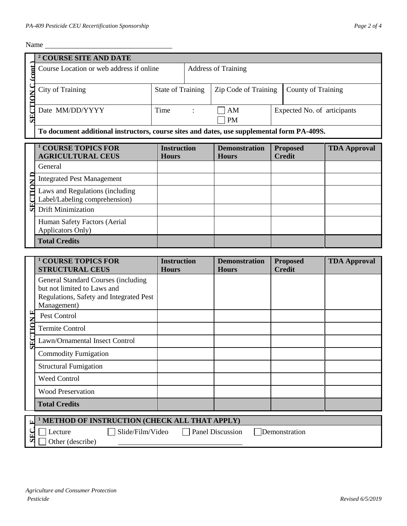$\mathbf{v}$ 

| Name             |                                                                                                                                                          |                                    |                            |                                      |                             |                 |                     |
|------------------|----------------------------------------------------------------------------------------------------------------------------------------------------------|------------------------------------|----------------------------|--------------------------------------|-----------------------------|-----------------|---------------------|
|                  | <sup>2</sup> COURSE SITE AND DATE                                                                                                                        |                                    |                            |                                      |                             |                 |                     |
| $\mathbf{r}$     | Course Location or web address if online                                                                                                                 |                                    | <b>Address of Training</b> |                                      |                             |                 |                     |
| <b>SECTION C</b> | <b>City of Training</b>                                                                                                                                  | <b>State of Training</b>           | Zip Code of Training       |                                      | County of Training          |                 |                     |
|                  | Date MM/DD/YYYY                                                                                                                                          | Time                               |                            | AM<br><b>PM</b>                      | Expected No. of articipants |                 |                     |
|                  | To document additional instructors, course sites and dates, use supplemental form PA-409S.                                                               |                                    |                            |                                      |                             |                 |                     |
|                  | <b>COURSE TOPICS FOR</b><br><b>AGRICULTURAL CEUS</b>                                                                                                     | <b>Instruction</b><br><b>Hours</b> |                            | <b>Demonstration</b><br><b>Hours</b> | <b>Credit</b>               | <b>Proposed</b> | <b>TDA Approval</b> |
|                  | General                                                                                                                                                  |                                    |                            |                                      |                             |                 |                     |
|                  | <b>Integrated Pest Management</b>                                                                                                                        |                                    |                            |                                      |                             |                 |                     |
| CTIO             | Laws and Regulations (including<br>Label/Labeling comprehension)                                                                                         |                                    |                            |                                      |                             |                 |                     |
| SF.              | <b>Drift Minimization</b>                                                                                                                                |                                    |                            |                                      |                             |                 |                     |
|                  | Human Safety Factors (Aerial<br>Applicators Only)                                                                                                        |                                    |                            |                                      |                             |                 |                     |
|                  | <b>Total Credits</b>                                                                                                                                     |                                    |                            |                                      |                             |                 |                     |
|                  |                                                                                                                                                          |                                    |                            |                                      |                             |                 |                     |
|                  | <sup>1</sup> COURSE TOPICS FOR<br><b>STRUCTURAL CEUS</b>                                                                                                 | <b>Instruction</b><br><b>Hours</b> |                            | <b>Demonstration</b><br><b>Hours</b> | <b>Credit</b>               | <b>Proposed</b> | <b>TDA Approval</b> |
|                  | <b>General Standard Courses (including</b><br>but not limited to Laws and<br>Regulations, Safety and Integrated Pest<br>Management)                      |                                    |                            |                                      |                             |                 |                     |
| ビス               | Pest Control                                                                                                                                             |                                    |                            |                                      |                             |                 |                     |
| $\Xi$            | <b>Termite Control</b>                                                                                                                                   |                                    |                            |                                      |                             |                 |                     |
| 5                | Lawn/Ornamental Insect Control                                                                                                                           |                                    |                            |                                      |                             |                 |                     |
|                  | <b>Commodity Fumigation</b>                                                                                                                              |                                    |                            |                                      |                             |                 |                     |
|                  | <b>Structural Fumigation</b>                                                                                                                             |                                    |                            |                                      |                             |                 |                     |
|                  | <b>Weed Control</b>                                                                                                                                      |                                    |                            |                                      |                             |                 |                     |
|                  | <b>Wood Preservation</b>                                                                                                                                 |                                    |                            |                                      |                             |                 |                     |
|                  | <b>Total Credits</b>                                                                                                                                     |                                    |                            |                                      |                             |                 |                     |
| Ŀ.<br>SE         | <sup>1</sup> METHOD OF INSTRUCTION (CHECK ALL THAT APPLY)<br>Slide/Film/Video<br><b>Panel Discussion</b><br>Demonstration<br>Lecture<br>Other (describe) |                                    |                            |                                      |                             |                 |                     |
|                  | <b>Agriculture and Consumer Protection</b><br>Pesticide<br>Revised 6/5/2019                                                                              |                                    |                            |                                      |                             |                 |                     |

| <b>Total Credits</b>                                             |                  |                         |               |  |
|------------------------------------------------------------------|------------------|-------------------------|---------------|--|
| $\sim$ <sup>1</sup> METHOD OF INSTRUCTION (CHECK ALL THAT APPLY) |                  |                         |               |  |
| Lecture                                                          | Slide/Film/Video | <b>Panel Discussion</b> | Demonstration |  |
| Other (describe)                                                 |                  |                         |               |  |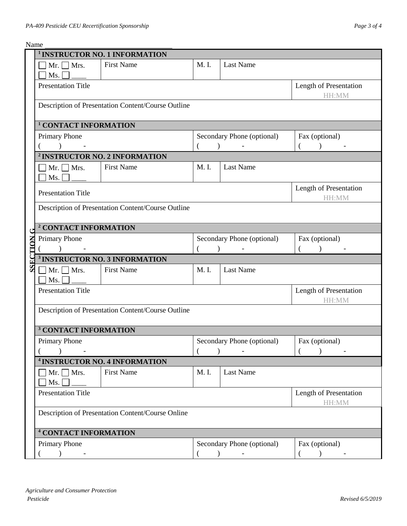$\overline{N}$ 

|                                 | Name                                      |                                                    |       |                                       |                                 |  |  |  |
|---------------------------------|-------------------------------------------|----------------------------------------------------|-------|---------------------------------------|---------------------------------|--|--|--|
|                                 |                                           | <sup>1</sup> INSTRUCTOR NO. 1 INFORMATION          |       |                                       |                                 |  |  |  |
|                                 | $\exists$ Mr. $\Box$ Mrs.<br>Ms.          | <b>First Name</b>                                  | M. I. | Last Name                             |                                 |  |  |  |
|                                 | <b>Presentation Title</b>                 |                                                    |       |                                       | Length of Presentation<br>HH:MM |  |  |  |
|                                 |                                           | Description of Presentation Content/Course Outline |       |                                       |                                 |  |  |  |
|                                 | <sup>1</sup> CONTACT INFORMATION          |                                                    |       |                                       |                                 |  |  |  |
|                                 |                                           |                                                    |       |                                       |                                 |  |  |  |
|                                 | <b>Primary Phone</b>                      |                                                    |       | Secondary Phone (optional)            | Fax (optional)                  |  |  |  |
|                                 |                                           | <sup>2</sup> INSTRUCTOR NO. 2 INFORMATION          |       |                                       |                                 |  |  |  |
|                                 | $\bigcap$ Mr. $\bigcap$ Mrs.<br>Ms.       | <b>First Name</b>                                  | M. I. | Last Name                             |                                 |  |  |  |
|                                 | <b>Presentation Title</b>                 |                                                    |       |                                       | Length of Presentation<br>HH:MM |  |  |  |
|                                 |                                           | Description of Presentation Content/Course Outline |       |                                       |                                 |  |  |  |
|                                 | <sup>2</sup> CONTACT INFORMATION          |                                                    |       |                                       |                                 |  |  |  |
| $\mathbf{C}$<br><b>SSECTION</b> | <b>Primary Phone</b>                      |                                                    |       | Secondary Phone (optional)            | Fax (optional)                  |  |  |  |
|                                 |                                           |                                                    |       | $\lambda$<br>$\overline{\phantom{a}}$ | $\lambda$                       |  |  |  |
|                                 | <sup>3</sup> INSTRUCTOR NO. 3 INFORMATION |                                                    |       |                                       |                                 |  |  |  |
|                                 | $\Box$ Mr. $\Box$ Mrs.<br>Ms.             | <b>First Name</b>                                  | M. I. | <b>Last Name</b>                      |                                 |  |  |  |
|                                 | <b>Presentation Title</b>                 |                                                    |       |                                       | Length of Presentation<br>HH:MM |  |  |  |
|                                 |                                           | Description of Presentation Content/Course Outline |       |                                       |                                 |  |  |  |
|                                 | <sup>3</sup> CONTACT INFORMATION          |                                                    |       |                                       |                                 |  |  |  |
|                                 | <b>Primary Phone</b>                      |                                                    |       | Secondary Phone (optional)            | Fax (optional)                  |  |  |  |
|                                 |                                           |                                                    |       |                                       |                                 |  |  |  |
|                                 |                                           | <sup>4</sup> INSTRUCTOR NO. 4 INFORMATION          |       |                                       |                                 |  |  |  |
|                                 | $\neg$ Mr. $\neg$ Mrs.<br>Ms.             | <b>First Name</b>                                  | M. I. | Last Name                             |                                 |  |  |  |
|                                 | <b>Presentation Title</b>                 |                                                    |       |                                       | Length of Presentation<br>HH:MM |  |  |  |
|                                 |                                           | Description of Presentation Content/Course Online  |       |                                       |                                 |  |  |  |
|                                 | <sup>4</sup> CONTACT INFORMATION          |                                                    |       |                                       |                                 |  |  |  |
|                                 | Primary Phone                             |                                                    |       | Secondary Phone (optional)            | Fax (optional)                  |  |  |  |
|                                 |                                           |                                                    |       | $\lambda$                             | $\overline{\phantom{a}}$        |  |  |  |